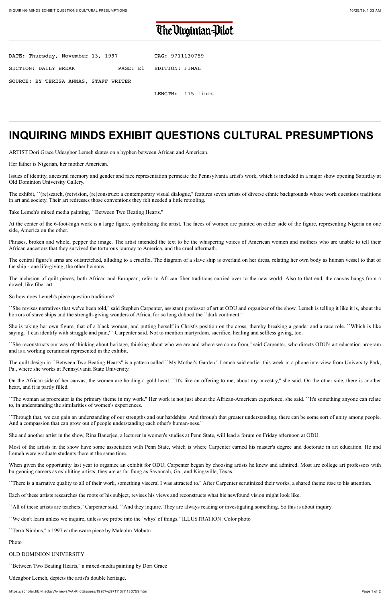# The Virginian-Pilot

| DATE: Thursday, November 13, 1997     | TAG: 9711130759         |
|---------------------------------------|-------------------------|
| SECTION: DAILY BREAK                  | PAGE: E1 EDITION: FINAL |
| SOURCE: BY TERESA ANNAS, STAFF WRITER |                         |

LENGTH: 115 lines

# **INQUIRING MINDS EXHIBIT QUESTIONS CULTURAL PRESUMPTIONS**

ARTIST Dori Grace Udeagbor Lemeh skates on a hyphen between African and American.

Her father is Nigerian, her mother American.

Issues of identity, ancestral memory and gender and race representation permeate the Pennsylvania artist's work, which is included in a major show opening Saturday at Old Dominion University Gallery.

The exhibit, ``(re)search, (re)vision, (re)construct: a contemporary visual dialogue,'' features seven artists of diverse ethnic backgrounds whose work questions traditions in art and society. Their art redresses those conventions they felt needed a little retooling.

``She revises narratives that we've been told,'' said Stephen Carpenter, assistant professor of art at ODU and organizer of the show. Lemeh is telling it like it is, about the horrors of slave ships and the strength-giving wonders of Africa, for so long dubbed the ``dark continent.''

Take Lemeh's mixed media painting, ``Between Two Beating Hearts.''

She is taking her own figure, that of a black woman, and putting herself in Christ's position on the cross, thereby breaking a gender and a race role. ``Which is like saying, 'I can identify with struggle and pain,' " Carpenter said. Not to mention martyrdom, sacrifice, healing and selfless giving, too.

At the center of the 6-foot-high work is a large figure, symbolizing the artist. The faces of women are painted on either side of the figure, representing Nigeria on one side, America on the other.

Phrases, broken and whole, pepper the image. The artist intended the text to be the whispering voices of American women and mothers who are unable to tell their African ancestors that they survived the torturous journey to America, and the cruel aftermath.

The central figure's arms are outstretched, alluding to a crucifix. The diagram of a slave ship is overlaid on her dress, relating her own body as human vessel to that of the ship - one life-giving, the other heinous.

The inclusion of quilt pieces, both African and European, refer to African fiber traditions carried over to the new world. Also to that end, the canvas hangs from a dowel, like fiber art.

So how does Lemeh's piece question traditions?

When given the opportunity last year to organize an exhibit for ODU, Carpenter began by choosing artists he knew and admired. Most are college art professors with burgeoning careers as exhibiting artists; they are as far flung as Savannah, Ga., and Kingsville, Texas.

``She reconstructs our way of thinking about heritage, thinking about who we are and where we come from,'' said Carpenter, who directs ODU's art education program and is a working ceramicist represented in the exhibit.

The quilt design in ``Between Two Beating Hearts'' is a pattern called ``My Mother's Garden,'' Lemeh said earlier this week in a phone interview from University Park, Pa., where she works at Pennsylvania State University.

On the African side of her canvas, the women are holding a gold heart. ``It's like an offering to me, about my ancestry,'' she said. On the other side, there is another heart, and it is partly filled.

``The woman as procreator is the primary theme in my work.'' Her work is not just about the African-American experience, she said. ``It's something anyone can relate to, in understanding the similarities of women's experiences.

``Through that, we can gain an understanding of our strengths and our hardships. And through that greater understanding, there can be some sort of unity among people. And a compassion that can grow out of people understanding each other's human-ness.''

She and another artist in the show, Rina Banerjee, a lecturer in women's studies at Penn State, will lead a forum on Friday afternoon at ODU.

Most of the artists in the show have some association with Penn State, which is where Carpenter earned his master's degree and doctorate in art education. He and Lemeh were graduate students there at the same time.

``There is a narrative quality to all of their work, something visceral I was attracted to.'' After Carpenter scrutinized their works, a shared theme rose to his attention.

Each of these artists researches the roots of his subject, revises his views and reconstructs what his newfound vision might look like.

``All of these artists are teachers,'' Carpenter said. ``And they inquire. They are always reading or investigating something. So this is about inquiry.

``We don't learn unless we inquire, unless we probe into the `whys' of things.'' ILLUSTRATION: Color photo

``Terra Nimbus,'' a 1997 earthenware piece by Malcolm Mobutu

### Photo

## OLD DOMINION UNIVERSITY

``Between Two Beating Hearts,'' a mixed-media painting by Dori Grace

Udeagbor Lemeh, depicts the artist's double heritage.